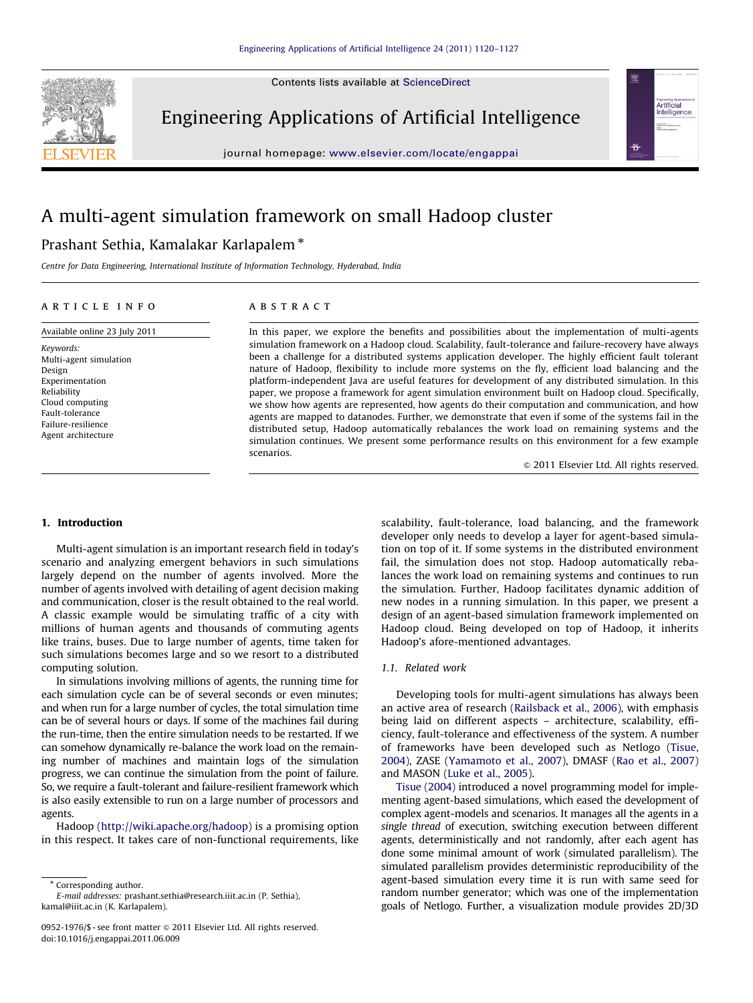Contents lists available at ScienceDirect



Engineering Applications of Artificial Intelligence

journal homepage: <www.elsevier.com/locate/engappai>



# A multi-agent simulation framework on small Hadoop cluster

# Prashant Sethia, Kamalakar Karlapalem  $^\ast$

Centre for Data Engineering, International Institute of Information Technology, Hyderabad, India

#### article info

## Available online 23 July 2011 Keywords: Multi-agent simulation Design Experimentation Reliability Cloud computing Fault-tolerance Failure-resilience Agent architecture

# **ABSTRACT**

In this paper, we explore the benefits and possibilities about the implementation of multi-agents simulation framework on a Hadoop cloud. Scalability, fault-tolerance and failure-recovery have always been a challenge for a distributed systems application developer. The highly efficient fault tolerant nature of Hadoop, flexibility to include more systems on the fly, efficient load balancing and the platform-independent Java are useful features for development of any distributed simulation. In this paper, we propose a framework for agent simulation environment built on Hadoop cloud. Specifically, we show how agents are represented, how agents do their computation and communication, and how agents are mapped to datanodes. Further, we demonstrate that even if some of the systems fail in the distributed setup, Hadoop automatically rebalances the work load on remaining systems and the simulation continues. We present some performance results on this environment for a few example scenarios.

 $@$  2011 Elsevier Ltd. All rights reserved.

# 1. Introduction

Multi-agent simulation is an important research field in today's scenario and analyzing emergent behaviors in such simulations largely depend on the number of agents involved. More the number of agents involved with detailing of agent decision making and communication, closer is the result obtained to the real world. A classic example would be simulating traffic of a city with millions of human agents and thousands of commuting agents like trains, buses. Due to large number of agents, time taken for such simulations becomes large and so we resort to a distributed computing solution.

In simulations involving millions of agents, the running time for each simulation cycle can be of several seconds or even minutes; and when run for a large number of cycles, the total simulation time can be of several hours or days. If some of the machines fail during the run-time, then the entire simulation needs to be restarted. If we can somehow dynamically re-balance the work load on the remaining number of machines and maintain logs of the simulation progress, we can continue the simulation from the point of failure. So, we require a fault-tolerant and failure-resilient framework which is also easily extensible to run on a large number of processors and agents.

Hadoop [\(http://wiki.apache.org/hadoop](#page--1-0)) is a promising option in this respect. It takes care of non-functional requirements, like scalability, fault-tolerance, load balancing, and the framework developer only needs to develop a layer for agent-based simulation on top of it. If some systems in the distributed environment fail, the simulation does not stop. Hadoop automatically rebalances the work load on remaining systems and continues to run the simulation. Further, Hadoop facilitates dynamic addition of new nodes in a running simulation. In this paper, we present a design of an agent-based simulation framework implemented on Hadoop cloud. Being developed on top of Hadoop, it inherits Hadoop's afore-mentioned advantages.

# 1.1. Related work

Developing tools for multi-agent simulations has always been an active area of research ([Railsback et al., 2006](#page--1-0)), with emphasis being laid on different aspects – architecture, scalability, efficiency, fault-tolerance and effectiveness of the system. A number of frameworks have been developed such as Netlogo ([Tisue,](#page--1-0) [2004\)](#page--1-0), ZASE [\(Yamamoto et al., 2007\)](#page--1-0), DMASF ([Rao et al., 2007\)](#page--1-0) and MASON [\(Luke et al., 2005\)](#page--1-0).

[Tisue \(2004\)](#page--1-0) introduced a novel programming model for implementing agent-based simulations, which eased the development of complex agent-models and scenarios. It manages all the agents in a single thread of execution, switching execution between different agents, deterministically and not randomly, after each agent has done some minimal amount of work (simulated parallelism). The simulated parallelism provides deterministic reproducibility of the agent-based simulation every time it is run with same seed for random number generator; which was one of the implementation goals of Netlogo. Further, a visualization module provides 2D/3D

<sup>\*</sup> Corresponding author. E-mail addresses: [prashant.sethia@research.iiit.ac.in \(P. Sethia\),](mailto:prashant.sethia@research.iiit.ac.in) [kamal@iiit.ac.in \(K. Karlapalem\).](mailto:kamal@iiit.ac.in)

<sup>0952-1976/\$ -</sup> see front matter @ 2011 Elsevier Ltd. All rights reserved. doi:[10.1016/j.engappai.2011.06.009](dx.doi.org/10.1016/j.engappai.2011.06.009)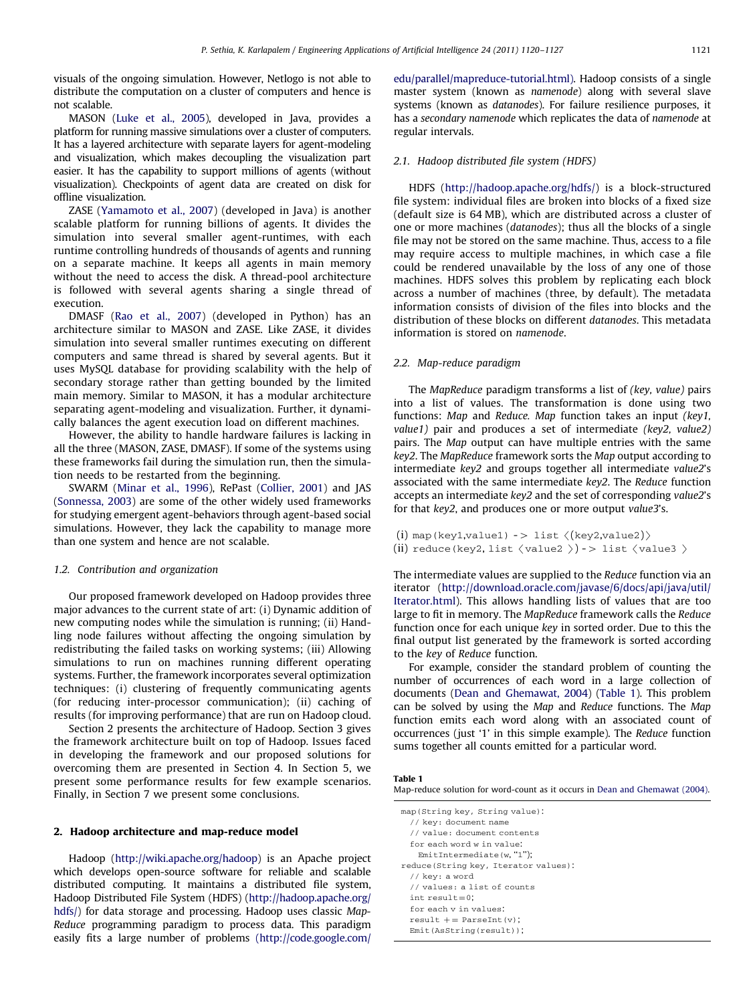visuals of the ongoing simulation. However, Netlogo is not able to distribute the computation on a cluster of computers and hence is not scalable.

MASON [\(Luke et al., 2005](#page--1-0)), developed in Java, provides a platform for running massive simulations over a cluster of computers. It has a layered architecture with separate layers for agent-modeling and visualization, which makes decoupling the visualization part easier. It has the capability to support millions of agents (without visualization). Checkpoints of agent data are created on disk for offline visualization.

ZASE [\(Yamamoto et al., 2007\)](#page--1-0) (developed in Java) is another scalable platform for running billions of agents. It divides the simulation into several smaller agent-runtimes, with each runtime controlling hundreds of thousands of agents and running on a separate machine. It keeps all agents in main memory without the need to access the disk. A thread-pool architecture is followed with several agents sharing a single thread of execution.

DMASF ([Rao et al., 2007\)](#page--1-0) (developed in Python) has an architecture similar to MASON and ZASE. Like ZASE, it divides simulation into several smaller runtimes executing on different computers and same thread is shared by several agents. But it uses MySQL database for providing scalability with the help of secondary storage rather than getting bounded by the limited main memory. Similar to MASON, it has a modular architecture separating agent-modeling and visualization. Further, it dynamically balances the agent execution load on different machines.

However, the ability to handle hardware failures is lacking in all the three (MASON, ZASE, DMASF). If some of the systems using these frameworks fail during the simulation run, then the simulation needs to be restarted from the beginning.

SWARM ([Minar et al., 1996](#page--1-0)), RePast [\(Collier, 2001\)](#page--1-0) and JAS ([Sonnessa, 2003](#page--1-0)) are some of the other widely used frameworks for studying emergent agent-behaviors through agent-based social simulations. However, they lack the capability to manage more than one system and hence are not scalable.

#### 1.2. Contribution and organization

Our proposed framework developed on Hadoop provides three major advances to the current state of art: (i) Dynamic addition of new computing nodes while the simulation is running; (ii) Handling node failures without affecting the ongoing simulation by redistributing the failed tasks on working systems; (iii) Allowing simulations to run on machines running different operating systems. Further, the framework incorporates several optimization techniques: (i) clustering of frequently communicating agents (for reducing inter-processor communication); (ii) caching of results (for improving performance) that are run on Hadoop cloud.

Section 2 presents the architecture of Hadoop. Section 3 gives the framework architecture built on top of Hadoop. Issues faced in developing the framework and our proposed solutions for overcoming them are presented in Section 4. In Section 5, we present some performance results for few example scenarios. Finally, in Section 7 we present some conclusions.

# 2. Hadoop architecture and map-reduce model

Hadoop [\(http://wiki.apache.org/hadoop\)](#page--1-0) is an Apache project which develops open-source software for reliable and scalable distributed computing. It maintains a distributed file system, Hadoop Distributed File System (HDFS) [\(http://hadoop.apache.org/](#page--1-0) [hdfs/](#page--1-0)) for data storage and processing. Hadoop uses classic Map-Reduce programming paradigm to process data. This paradigm easily fits a large number of problems [\(http://code.google.com/](#page--1-0) [edu/parallel/mapreduce-tutorial.html\).](#page--1-0) Hadoop consists of a single master system (known as namenode) along with several slave systems (known as datanodes). For failure resilience purposes, it has a secondary namenode which replicates the data of namenode at regular intervals.

## 2.1. Hadoop distributed file system (HDFS)

HDFS [\(http://hadoop.apache.org/hdfs/\)](#page--1-0) is a block-structured file system: individual files are broken into blocks of a fixed size (default size is 64 MB), which are distributed across a cluster of one or more machines (datanodes); thus all the blocks of a single file may not be stored on the same machine. Thus, access to a file may require access to multiple machines, in which case a file could be rendered unavailable by the loss of any one of those machines. HDFS solves this problem by replicating each block across a number of machines (three, by default). The metadata information consists of division of the files into blocks and the distribution of these blocks on different datanodes. This metadata information is stored on namenode.

# 2.2. Map-reduce paradigm

The MapReduce paradigm transforms a list of (key, value) pairs into a list of values. The transformation is done using two functions: Map and Reduce. Map function takes an input (key1, value1) pair and produces a set of intermediate (key2, value2) pairs. The Map output can have multiple entries with the same key2. The MapReduce framework sorts the Map output according to intermediate key2 and groups together all intermediate value2's associated with the same intermediate key2. The Reduce function accepts an intermediate key2 and the set of corresponding value2's for that key2, and produces one or more output value3's.

```
(i) map(key1,value1) \rightarrow list \langle(key2,value2)\rangle(ii) reduce(key2, list \langle value2 \rangle) -> list \langle value3 \rangle
```
The intermediate values are supplied to the Reduce function via an iterator ([http://download.oracle.com/javase/6/docs/api/java/util/](#page--1-0) [Iterator.html\)](#page--1-0). This allows handling lists of values that are too large to fit in memory. The MapReduce framework calls the Reduce function once for each unique key in sorted order. Due to this the final output list generated by the framework is sorted according to the key of Reduce function.

For example, consider the standard problem of counting the number of occurrences of each word in a large collection of documents ([Dean and Ghemawat, 2004](#page--1-0)) (Table 1). This problem can be solved by using the Map and Reduce functions. The Map function emits each word along with an associated count of occurrences (just '1' in this simple example). The Reduce function sums together all counts emitted for a particular word.

#### Table 1

```
Map-reduce solution for word-count as it occurs in Dean and Ghemawat (2004).
```
map(String key, String value):

```
// key: document name
```
// value: document contents for each word w in value:

EmitIntermediate(w, "1");

- reduce(String key, Iterator values):
- // key: a word
- // values: a list of counts
- int  $result=0;$
- for each v in values:
- $result += ParseInt(v);$
- Emit(AsString(result));